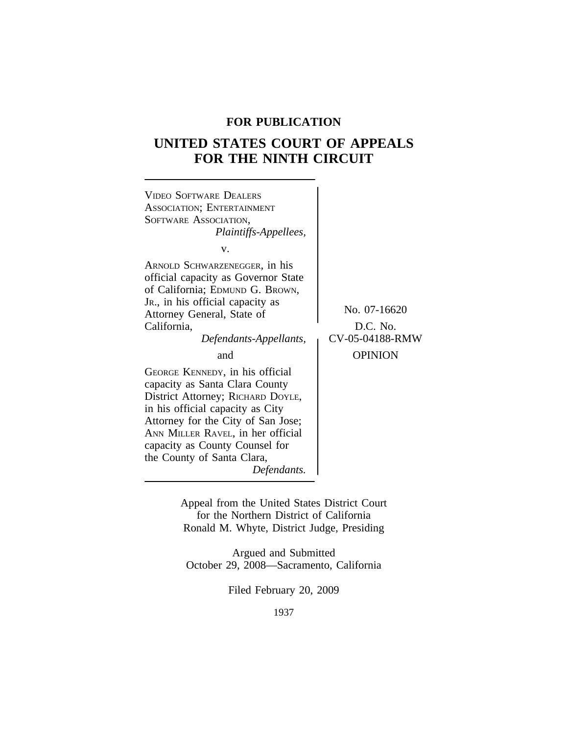# **FOR PUBLICATION**

# **UNITED STATES COURT OF APPEALS FOR THE NINTH CIRCUIT**



Appeal from the United States District Court for the Northern District of California Ronald M. Whyte, District Judge, Presiding

Argued and Submitted October 29, 2008—Sacramento, California

Filed February 20, 2009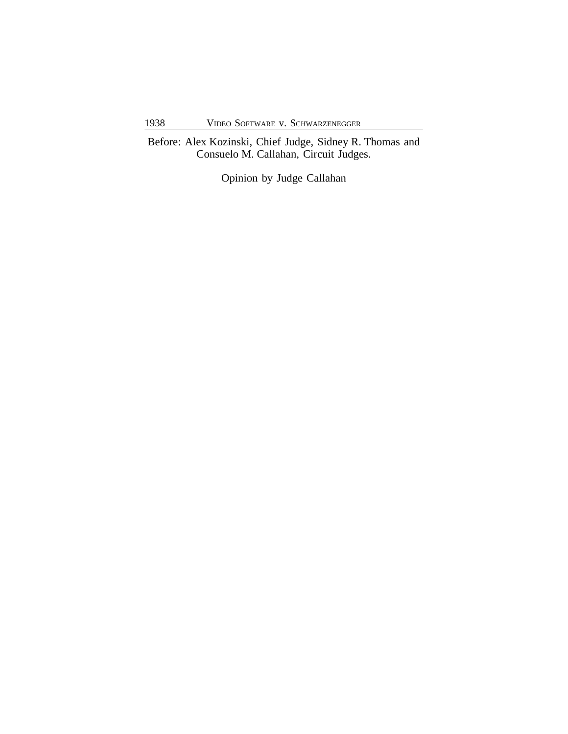Before: Alex Kozinski, Chief Judge, Sidney R. Thomas and Consuelo M. Callahan, Circuit Judges.

Opinion by Judge Callahan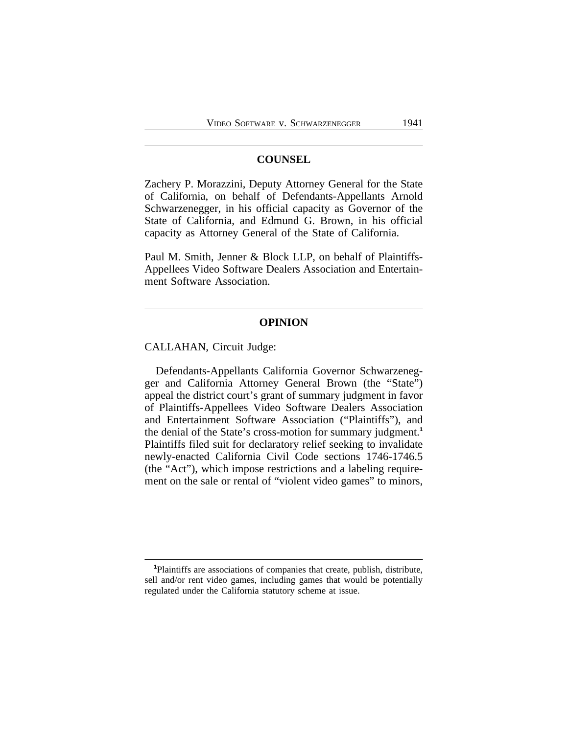### **COUNSEL**

Zachery P. Morazzini, Deputy Attorney General for the State of California, on behalf of Defendants-Appellants Arnold Schwarzenegger, in his official capacity as Governor of the State of California, and Edmund G. Brown, in his official capacity as Attorney General of the State of California.

Paul M. Smith, Jenner & Block LLP, on behalf of Plaintiffs-Appellees Video Software Dealers Association and Entertainment Software Association.

### **OPINION**

CALLAHAN, Circuit Judge:

Defendants-Appellants California Governor Schwarzenegger and California Attorney General Brown (the "State") appeal the district court's grant of summary judgment in favor of Plaintiffs-Appellees Video Software Dealers Association and Entertainment Software Association ("Plaintiffs"), and the denial of the State's cross-motion for summary judgment.**<sup>1</sup>** Plaintiffs filed suit for declaratory relief seeking to invalidate newly-enacted California Civil Code sections 1746-1746.5 (the "Act"), which impose restrictions and a labeling requirement on the sale or rental of "violent video games" to minors,

**<sup>1</sup>**Plaintiffs are associations of companies that create, publish, distribute, sell and/or rent video games, including games that would be potentially regulated under the California statutory scheme at issue.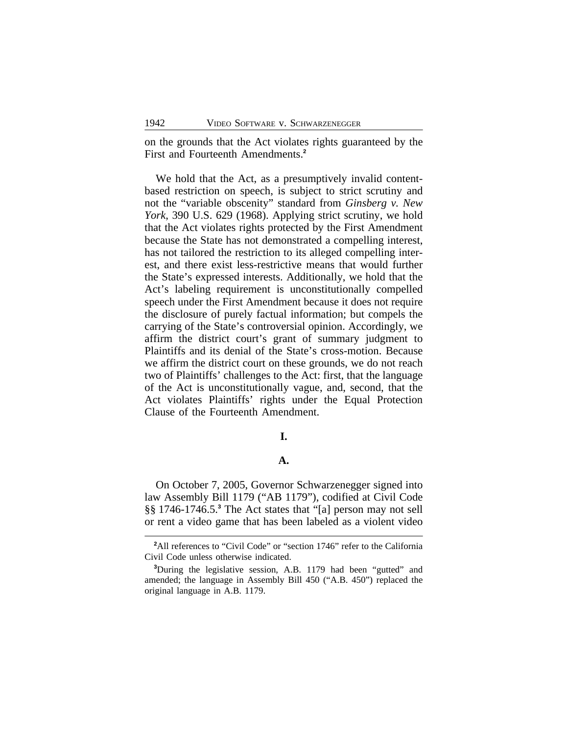on the grounds that the Act violates rights guaranteed by the First and Fourteenth Amendments.**<sup>2</sup>**

We hold that the Act, as a presumptively invalid contentbased restriction on speech, is subject to strict scrutiny and not the "variable obscenity" standard from *Ginsberg v. New York*, 390 U.S. 629 (1968). Applying strict scrutiny, we hold that the Act violates rights protected by the First Amendment because the State has not demonstrated a compelling interest, has not tailored the restriction to its alleged compelling interest, and there exist less-restrictive means that would further the State's expressed interests. Additionally, we hold that the Act's labeling requirement is unconstitutionally compelled speech under the First Amendment because it does not require the disclosure of purely factual information; but compels the carrying of the State's controversial opinion. Accordingly, we affirm the district court's grant of summary judgment to Plaintiffs and its denial of the State's cross-motion. Because we affirm the district court on these grounds, we do not reach two of Plaintiffs' challenges to the Act: first, that the language of the Act is unconstitutionally vague, and, second, that the Act violates Plaintiffs' rights under the Equal Protection Clause of the Fourteenth Amendment.

#### **I.**

## **A.**

On October 7, 2005, Governor Schwarzenegger signed into law Assembly Bill 1179 ("AB 1179"), codified at Civil Code §§ 1746-1746.5.**<sup>3</sup>** The Act states that "[a] person may not sell or rent a video game that has been labeled as a violent video

<sup>&</sup>lt;sup>2</sup>All references to "Civil Code" or "section 1746" refer to the California Civil Code unless otherwise indicated.

**<sup>3</sup>**During the legislative session, A.B. 1179 had been "gutted" and amended; the language in Assembly Bill 450 ("A.B. 450") replaced the original language in A.B. 1179.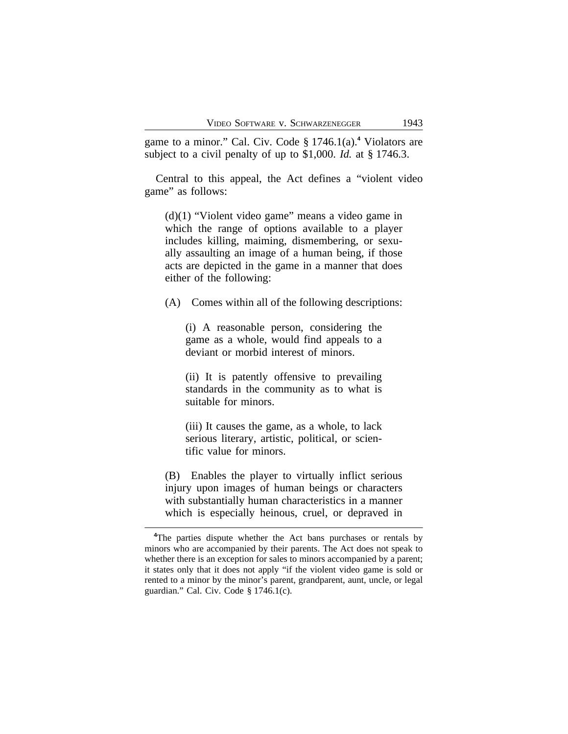game to a minor." Cal. Civ. Code § 1746.1(a).**<sup>4</sup>** Violators are subject to a civil penalty of up to \$1,000. *Id.* at § 1746.3.

Central to this appeal, the Act defines a "violent video game" as follows:

(d)(1) "Violent video game" means a video game in which the range of options available to a player includes killing, maiming, dismembering, or sexually assaulting an image of a human being, if those acts are depicted in the game in a manner that does either of the following:

(A) Comes within all of the following descriptions:

(i) A reasonable person, considering the game as a whole, would find appeals to a deviant or morbid interest of minors.

(ii) It is patently offensive to prevailing standards in the community as to what is suitable for minors.

(iii) It causes the game, as a whole, to lack serious literary, artistic, political, or scientific value for minors.

(B) Enables the player to virtually inflict serious injury upon images of human beings or characters with substantially human characteristics in a manner which is especially heinous, cruel, or depraved in

<sup>&</sup>lt;sup>4</sup>The parties dispute whether the Act bans purchases or rentals by minors who are accompanied by their parents. The Act does not speak to whether there is an exception for sales to minors accompanied by a parent; it states only that it does not apply "if the violent video game is sold or rented to a minor by the minor's parent, grandparent, aunt, uncle, or legal guardian." Cal. Civ. Code § 1746.1(c).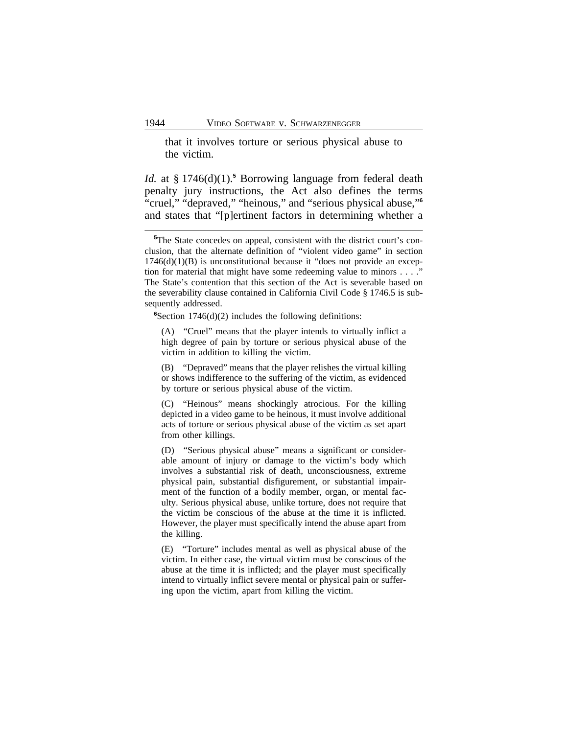that it involves torture or serious physical abuse to the victim.

*Id.* at § 1746(d)(1).**<sup>5</sup>** Borrowing language from federal death penalty jury instructions, the Act also defines the terms "cruel," "depraved," "heinous," and "serious physical abuse," **6** and states that "[p]ertinent factors in determining whether a

**<sup>6</sup>**Section 1746(d)(2) includes the following definitions:

(A) "Cruel" means that the player intends to virtually inflict a high degree of pain by torture or serious physical abuse of the victim in addition to killing the victim.

(B) "Depraved" means that the player relishes the virtual killing or shows indifference to the suffering of the victim, as evidenced by torture or serious physical abuse of the victim.

(C) "Heinous" means shockingly atrocious. For the killing depicted in a video game to be heinous, it must involve additional acts of torture or serious physical abuse of the victim as set apart from other killings.

(D) "Serious physical abuse" means a significant or considerable amount of injury or damage to the victim's body which involves a substantial risk of death, unconsciousness, extreme physical pain, substantial disfigurement, or substantial impairment of the function of a bodily member, organ, or mental faculty. Serious physical abuse, unlike torture, does not require that the victim be conscious of the abuse at the time it is inflicted. However, the player must specifically intend the abuse apart from the killing.

(E) "Torture" includes mental as well as physical abuse of the victim. In either case, the virtual victim must be conscious of the abuse at the time it is inflicted; and the player must specifically intend to virtually inflict severe mental or physical pain or suffering upon the victim, apart from killing the victim.

<sup>&</sup>lt;sup>5</sup>The State concedes on appeal, consistent with the district court's conclusion, that the alternate definition of "violent video game" in section  $1746(d)(1)(B)$  is unconstitutional because it "does not provide an exception for material that might have some redeeming value to minors . . . ." The State's contention that this section of the Act is severable based on the severability clause contained in California Civil Code § 1746.5 is subsequently addressed.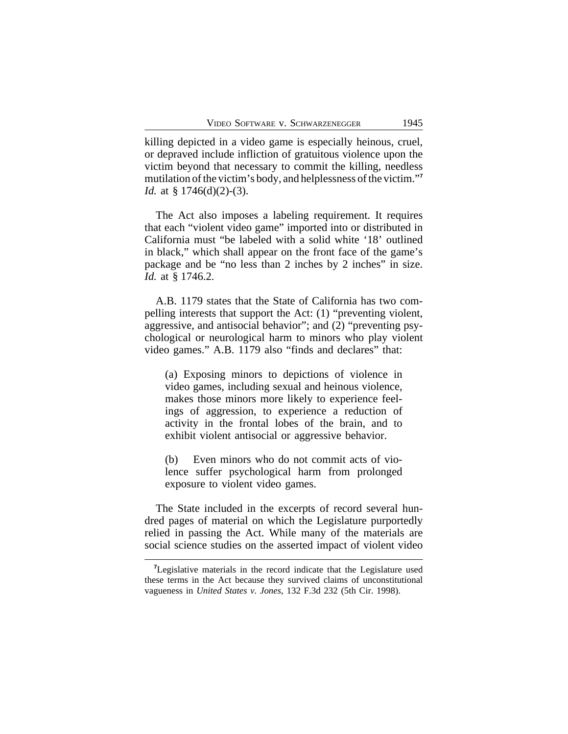killing depicted in a video game is especially heinous, cruel, or depraved include infliction of gratuitous violence upon the victim beyond that necessary to commit the killing, needless mutilation of the victim's body, and helplessness of the victim." **7** *Id.* at § 1746(d)(2)-(3).

The Act also imposes a labeling requirement. It requires that each "violent video game" imported into or distributed in California must "be labeled with a solid white '18' outlined in black," which shall appear on the front face of the game's package and be "no less than 2 inches by 2 inches" in size. *Id.* at § 1746.2.

A.B. 1179 states that the State of California has two compelling interests that support the Act: (1) "preventing violent, aggressive, and antisocial behavior"; and (2) "preventing psychological or neurological harm to minors who play violent video games." A.B. 1179 also "finds and declares" that:

(a) Exposing minors to depictions of violence in video games, including sexual and heinous violence, makes those minors more likely to experience feelings of aggression, to experience a reduction of activity in the frontal lobes of the brain, and to exhibit violent antisocial or aggressive behavior.

(b) Even minors who do not commit acts of violence suffer psychological harm from prolonged exposure to violent video games.

The State included in the excerpts of record several hundred pages of material on which the Legislature purportedly relied in passing the Act. While many of the materials are social science studies on the asserted impact of violent video

**<sup>7</sup>**Legislative materials in the record indicate that the Legislature used these terms in the Act because they survived claims of unconstitutional vagueness in *United States v. Jones*, 132 F.3d 232 (5th Cir. 1998).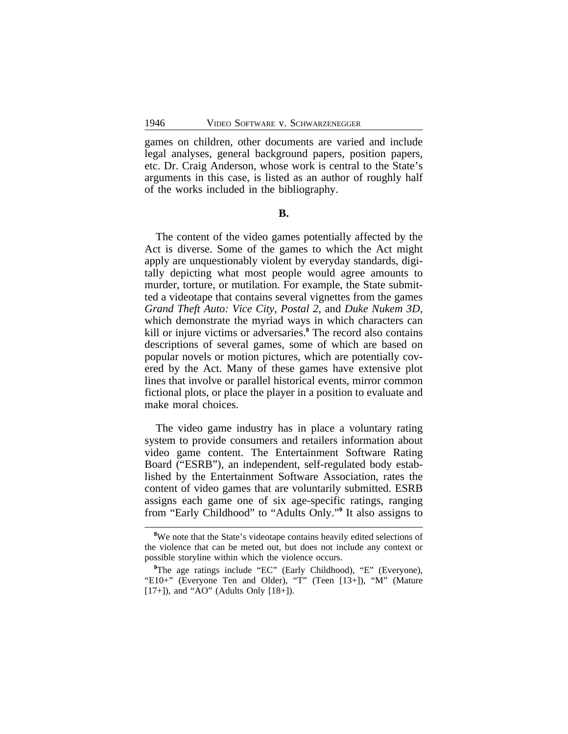games on children, other documents are varied and include legal analyses, general background papers, position papers, etc. Dr. Craig Anderson, whose work is central to the State's arguments in this case, is listed as an author of roughly half of the works included in the bibliography.

**B.**

The content of the video games potentially affected by the Act is diverse. Some of the games to which the Act might apply are unquestionably violent by everyday standards, digitally depicting what most people would agree amounts to murder, torture, or mutilation. For example, the State submitted a videotape that contains several vignettes from the games *Grand Theft Auto: Vice City*, *Postal 2*, and *Duke Nukem 3D*, which demonstrate the myriad ways in which characters can kill or injure victims or adversaries.**<sup>8</sup>** The record also contains descriptions of several games, some of which are based on popular novels or motion pictures, which are potentially covered by the Act. Many of these games have extensive plot lines that involve or parallel historical events, mirror common fictional plots, or place the player in a position to evaluate and make moral choices.

The video game industry has in place a voluntary rating system to provide consumers and retailers information about video game content. The Entertainment Software Rating Board ("ESRB"), an independent, self-regulated body established by the Entertainment Software Association, rates the content of video games that are voluntarily submitted. ESRB assigns each game one of six age-specific ratings, ranging from "Early Childhood" to "Adults Only." **9** It also assigns to

<sup>&</sup>lt;sup>8</sup>We note that the State's videotape contains heavily edited selections of the violence that can be meted out, but does not include any context or possible storyline within which the violence occurs.

<sup>&</sup>lt;sup>9</sup>The age ratings include "EC" (Early Childhood), "E" (Everyone), "E10+" (Everyone Ten and Older), "T" (Teen [13+]), "M" (Mature [17+]), and "AO" (Adults Only [18+]).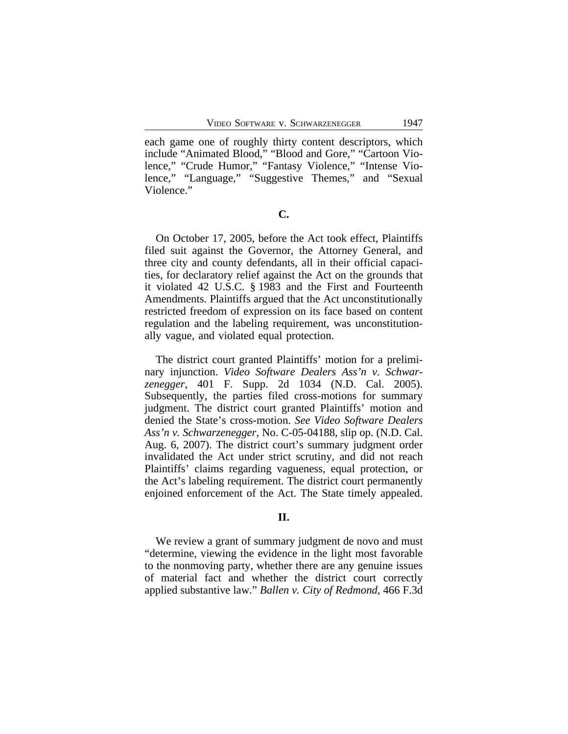each game one of roughly thirty content descriptors, which include "Animated Blood," "Blood and Gore," "Cartoon Violence," "Crude Humor," "Fantasy Violence," "Intense Violence," "Language," "Suggestive Themes," and "Sexual Violence."

**C.**

On October 17, 2005, before the Act took effect, Plaintiffs filed suit against the Governor, the Attorney General, and three city and county defendants, all in their official capacities, for declaratory relief against the Act on the grounds that it violated 42 U.S.C. § 1983 and the First and Fourteenth Amendments. Plaintiffs argued that the Act unconstitutionally restricted freedom of expression on its face based on content regulation and the labeling requirement, was unconstitutionally vague, and violated equal protection.

The district court granted Plaintiffs' motion for a preliminary injunction. *Video Software Dealers Ass'n v. Schwarzenegger*, 401 F. Supp. 2d 1034 (N.D. Cal. 2005). Subsequently, the parties filed cross-motions for summary judgment. The district court granted Plaintiffs' motion and denied the State's cross-motion. *See Video Software Dealers Ass'n v. Schwarzenegger*, No. C-05-04188, slip op. (N.D. Cal. Aug. 6, 2007). The district court's summary judgment order invalidated the Act under strict scrutiny, and did not reach Plaintiffs' claims regarding vagueness, equal protection, or the Act's labeling requirement. The district court permanently enjoined enforcement of the Act. The State timely appealed.

#### **II.**

We review a grant of summary judgment de novo and must "determine, viewing the evidence in the light most favorable to the nonmoving party, whether there are any genuine issues of material fact and whether the district court correctly applied substantive law." *Ballen v. City of Redmond*, 466 F.3d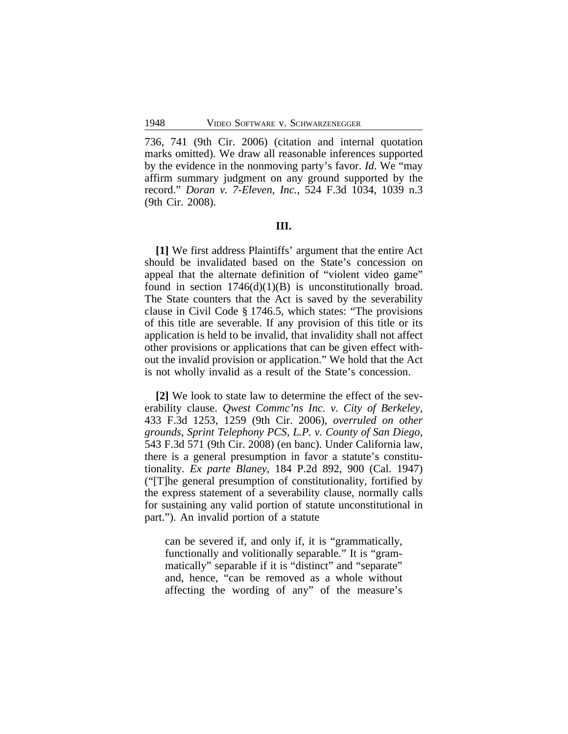736, 741 (9th Cir. 2006) (citation and internal quotation marks omitted). We draw all reasonable inferences supported by the evidence in the nonmoving party's favor. *Id*. We "may affirm summary judgment on any ground supported by the record." *Doran v. 7-Eleven, Inc.*, 524 F.3d 1034, 1039 n.3 (9th Cir. 2008).

#### **III.**

**[1]** We first address Plaintiffs' argument that the entire Act should be invalidated based on the State's concession on appeal that the alternate definition of "violent video game" found in section  $1746(d)(1)(B)$  is unconstitutionally broad. The State counters that the Act is saved by the severability clause in Civil Code § 1746.5, which states: "The provisions of this title are severable. If any provision of this title or its application is held to be invalid, that invalidity shall not affect other provisions or applications that can be given effect without the invalid provision or application." We hold that the Act is not wholly invalid as a result of the State's concession.

**[2]** We look to state law to determine the effect of the severability clause. *Qwest Commc'ns Inc. v. City of Berkeley*, 433 F.3d 1253, 1259 (9th Cir. 2006), *overruled on other grounds*, *Sprint Telephony PCS, L.P. v. County of San Diego*, 543 F.3d 571 (9th Cir. 2008) (en banc). Under California law, there is a general presumption in favor a statute's constitutionality. *Ex parte Blaney*, 184 P.2d 892, 900 (Cal. 1947) ("[T]he general presumption of constitutionality, fortified by the express statement of a severability clause, normally calls for sustaining any valid portion of statute unconstitutional in part."). An invalid portion of a statute

can be severed if, and only if, it is "grammatically, functionally and volitionally separable." It is "grammatically" separable if it is "distinct" and "separate" and, hence, "can be removed as a whole without affecting the wording of any" of the measure's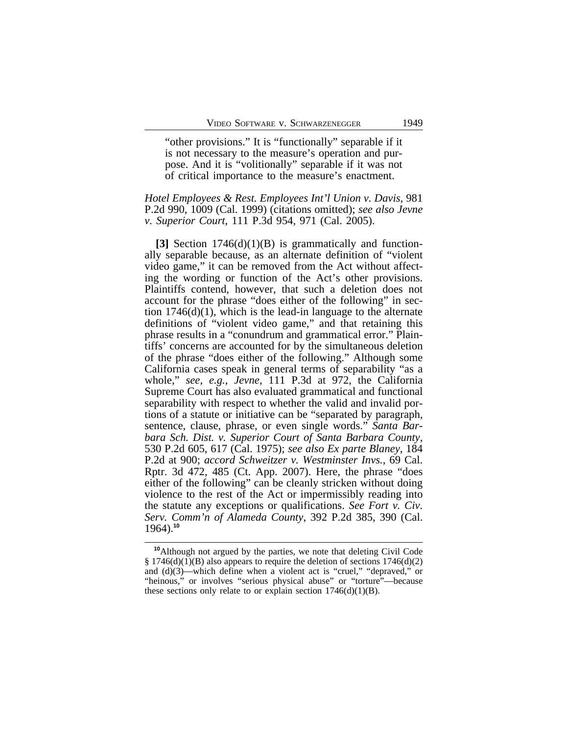"other provisions." It is "functionally" separable if it is not necessary to the measure's operation and purpose. And it is "volitionally" separable if it was not of critical importance to the measure's enactment.

### *Hotel Employees & Rest. Employees Int'l Union v. Davis*, 981 P.2d 990, 1009 (Cal. 1999) (citations omitted); *see also Jevne v. Superior Court*, 111 P.3d 954, 971 (Cal. 2005).

**[3]** Section 1746(d)(1)(B) is grammatically and functionally separable because, as an alternate definition of "violent video game," it can be removed from the Act without affecting the wording or function of the Act's other provisions. Plaintiffs contend, however, that such a deletion does not account for the phrase "does either of the following" in section  $1746(d)(1)$ , which is the lead-in language to the alternate definitions of "violent video game," and that retaining this phrase results in a "conundrum and grammatical error." Plaintiffs' concerns are accounted for by the simultaneous deletion of the phrase "does either of the following." Although some California cases speak in general terms of separability "as a whole," *see*, *e.g.*, *Jevne*, 111 P.3d at 972, the California Supreme Court has also evaluated grammatical and functional separability with respect to whether the valid and invalid portions of a statute or initiative can be "separated by paragraph, sentence, clause, phrase, or even single words." *Santa Barbara Sch. Dist. v. Superior Court of Santa Barbara County*, 530 P.2d 605, 617 (Cal. 1975); *see also Ex parte Blaney*, 184 P.2d at 900; *accord Schweitzer v. Westminster Invs.*, 69 Cal. Rptr. 3d 472, 485 (Ct. App. 2007). Here, the phrase "does either of the following" can be cleanly stricken without doing violence to the rest of the Act or impermissibly reading into the statute any exceptions or qualifications. *See Fort v. Civ. Serv. Comm'n of Alameda County*, 392 P.2d 385, 390 (Cal. 1964).**<sup>10</sup>**

**<sup>10</sup>**Although not argued by the parties, we note that deleting Civil Code § 1746(d)(1)(B) also appears to require the deletion of sections  $1746(d)(2)$ and (d)(3)—which define when a violent act is "cruel," "depraved," or "heinous," or involves "serious physical abuse" or "torture"—because these sections only relate to or explain section  $1746(d)(1)(B)$ .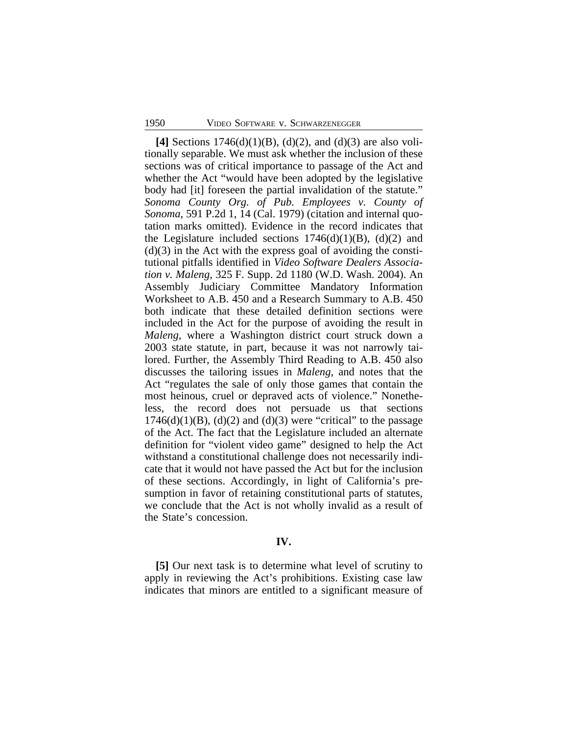**[4]** Sections 1746(d)(1)(B), (d)(2), and (d)(3) are also volitionally separable. We must ask whether the inclusion of these sections was of critical importance to passage of the Act and whether the Act "would have been adopted by the legislative body had [it] foreseen the partial invalidation of the statute." *Sonoma County Org. of Pub. Employees v. County of Sonoma*, 591 P.2d 1, 14 (Cal. 1979) (citation and internal quotation marks omitted). Evidence in the record indicates that the Legislature included sections  $1746(d)(1)(B)$ ,  $(d)(2)$  and  $(d)(3)$  in the Act with the express goal of avoiding the constitutional pitfalls identified in *Video Software Dealers Association v. Maleng*, 325 F. Supp. 2d 1180 (W.D. Wash. 2004). An Assembly Judiciary Committee Mandatory Information Worksheet to A.B. 450 and a Research Summary to A.B. 450 both indicate that these detailed definition sections were included in the Act for the purpose of avoiding the result in *Maleng,* where a Washington district court struck down a 2003 state statute, in part, because it was not narrowly tailored. Further, the Assembly Third Reading to A.B. 450 also discusses the tailoring issues in *Maleng*, and notes that the Act "regulates the sale of only those games that contain the most heinous, cruel or depraved acts of violence." Nonetheless, the record does not persuade us that sections  $1746(d)(1)(B)$ ,  $(d)(2)$  and  $(d)(3)$  were "critical" to the passage of the Act. The fact that the Legislature included an alternate definition for "violent video game" designed to help the Act withstand a constitutional challenge does not necessarily indicate that it would not have passed the Act but for the inclusion of these sections. Accordingly, in light of California's presumption in favor of retaining constitutional parts of statutes, we conclude that the Act is not wholly invalid as a result of the State's concession.

#### **IV.**

**[5]** Our next task is to determine what level of scrutiny to apply in reviewing the Act's prohibitions. Existing case law indicates that minors are entitled to a significant measure of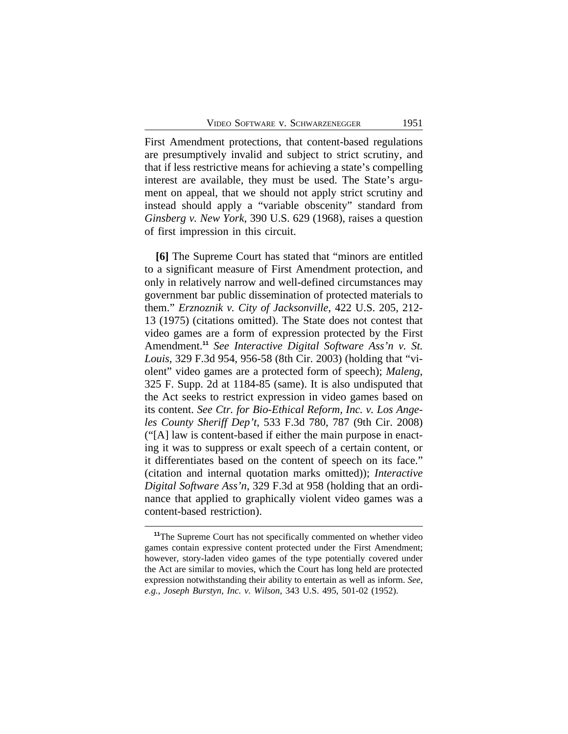First Amendment protections, that content-based regulations are presumptively invalid and subject to strict scrutiny, and that if less restrictive means for achieving a state's compelling interest are available, they must be used. The State's argument on appeal, that we should not apply strict scrutiny and instead should apply a "variable obscenity" standard from *Ginsberg v. New York*, 390 U.S. 629 (1968), raises a question of first impression in this circuit.

**[6]** The Supreme Court has stated that "minors are entitled to a significant measure of First Amendment protection, and only in relatively narrow and well-defined circumstances may government bar public dissemination of protected materials to them." *Erznoznik v. City of Jacksonville*, 422 U.S. 205, 212- 13 (1975) (citations omitted). The State does not contest that video games are a form of expression protected by the First Amendment.**<sup>11</sup>** *See Interactive Digital Software Ass'n v. St. Louis*, 329 F.3d 954, 956-58 (8th Cir. 2003) (holding that "violent" video games are a protected form of speech); *Maleng*, 325 F. Supp. 2d at 1184-85 (same). It is also undisputed that the Act seeks to restrict expression in video games based on its content. *See Ctr. for Bio-Ethical Reform, Inc. v. Los Angeles County Sheriff Dep't*, 533 F.3d 780, 787 (9th Cir. 2008) ("[A] law is content-based if either the main purpose in enacting it was to suppress or exalt speech of a certain content, or it differentiates based on the content of speech on its face." (citation and internal quotation marks omitted)); *Interactive Digital Software Ass'n*, 329 F.3d at 958 (holding that an ordinance that applied to graphically violent video games was a content-based restriction).

**<sup>11</sup>**The Supreme Court has not specifically commented on whether video games contain expressive content protected under the First Amendment; however, story-laden video games of the type potentially covered under the Act are similar to movies, which the Court has long held are protected expression notwithstanding their ability to entertain as well as inform. *See*, *e.g.*, *Joseph Burstyn, Inc. v. Wilson*, 343 U.S. 495, 501-02 (1952).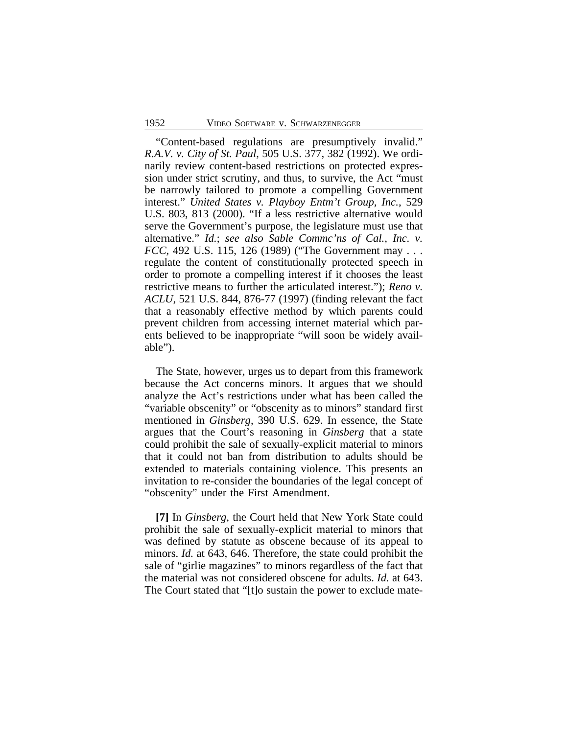"Content-based regulations are presumptively invalid." *R.A.V. v. City of St. Paul*, 505 U.S. 377, 382 (1992). We ordinarily review content-based restrictions on protected expression under strict scrutiny, and thus, to survive, the Act "must be narrowly tailored to promote a compelling Government interest." *United States v. Playboy Entm't Group, Inc.*, 529 U.S. 803, 813 (2000). "If a less restrictive alternative would serve the Government's purpose, the legislature must use that alternative." *Id.*; *see also Sable Commc'ns of Cal., Inc. v. FCC*, 492 U.S. 115, 126 (1989) ("The Government may . . . regulate the content of constitutionally protected speech in order to promote a compelling interest if it chooses the least restrictive means to further the articulated interest."); *Reno v. ACLU*, 521 U.S. 844, 876-77 (1997) (finding relevant the fact that a reasonably effective method by which parents could prevent children from accessing internet material which parents believed to be inappropriate "will soon be widely available").

The State, however, urges us to depart from this framework because the Act concerns minors. It argues that we should analyze the Act's restrictions under what has been called the "variable obscenity" or "obscenity as to minors" standard first mentioned in *Ginsberg*, 390 U.S. 629. In essence, the State argues that the Court's reasoning in *Ginsberg* that a state could prohibit the sale of sexually-explicit material to minors that it could not ban from distribution to adults should be extended to materials containing violence. This presents an invitation to re-consider the boundaries of the legal concept of "obscenity" under the First Amendment.

**[7]** In *Ginsberg*, the Court held that New York State could prohibit the sale of sexually-explicit material to minors that was defined by statute as obscene because of its appeal to minors. *Id.* at 643, 646. Therefore, the state could prohibit the sale of "girlie magazines" to minors regardless of the fact that the material was not considered obscene for adults. *Id.* at 643. The Court stated that "[t]o sustain the power to exclude mate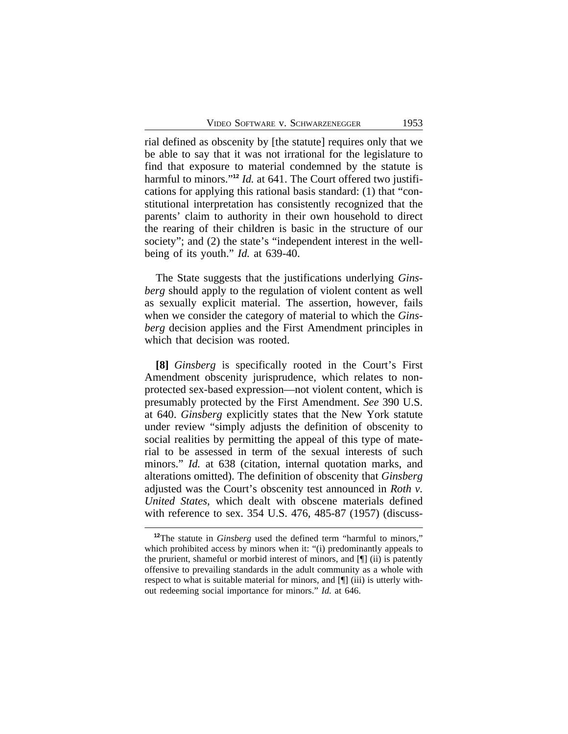rial defined as obscenity by [the statute] requires only that we be able to say that it was not irrational for the legislature to find that exposure to material condemned by the statute is harmful to minors." **<sup>12</sup>** *Id.* at 641. The Court offered two justifications for applying this rational basis standard: (1) that "constitutional interpretation has consistently recognized that the parents' claim to authority in their own household to direct the rearing of their children is basic in the structure of our society"; and (2) the state's "independent interest in the wellbeing of its youth." *Id.* at 639-40.

The State suggests that the justifications underlying *Ginsberg* should apply to the regulation of violent content as well as sexually explicit material. The assertion, however, fails when we consider the category of material to which the *Ginsberg* decision applies and the First Amendment principles in which that decision was rooted.

**[8]** *Ginsberg* is specifically rooted in the Court's First Amendment obscenity jurisprudence, which relates to nonprotected sex-based expression—not violent content, which is presumably protected by the First Amendment. *See* 390 U.S. at 640. *Ginsberg* explicitly states that the New York statute under review "simply adjusts the definition of obscenity to social realities by permitting the appeal of this type of material to be assessed in term of the sexual interests of such minors." *Id.* at 638 (citation, internal quotation marks, and alterations omitted). The definition of obscenity that *Ginsberg* adjusted was the Court's obscenity test announced in *Roth v. United States*, which dealt with obscene materials defined with reference to sex. 354 U.S. 476, 485-87 (1957) (discuss-

**<sup>12</sup>**The statute in *Ginsberg* used the defined term "harmful to minors," which prohibited access by minors when it: "(i) predominantly appeals to the prurient, shameful or morbid interest of minors, and [¶] (ii) is patently offensive to prevailing standards in the adult community as a whole with respect to what is suitable material for minors, and [¶] (iii) is utterly without redeeming social importance for minors." *Id.* at 646.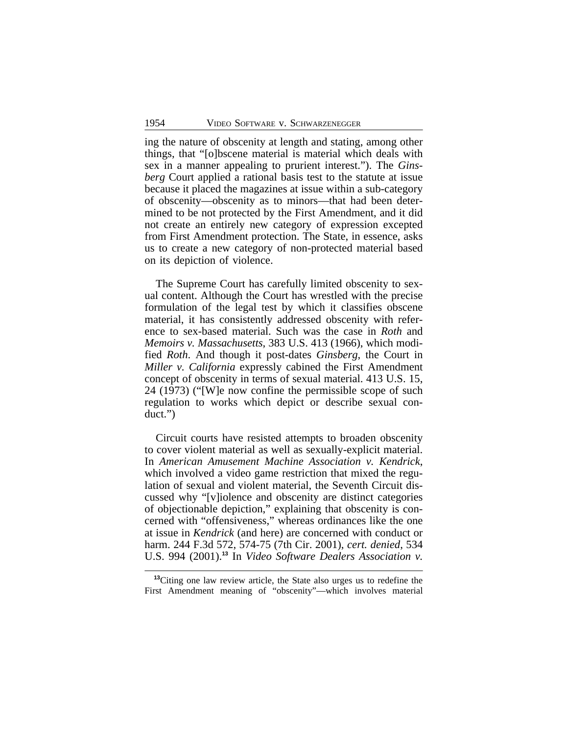ing the nature of obscenity at length and stating, among other things, that "[o]bscene material is material which deals with sex in a manner appealing to prurient interest."). The *Ginsberg* Court applied a rational basis test to the statute at issue because it placed the magazines at issue within a sub-category of obscenity—obscenity as to minors—that had been determined to be not protected by the First Amendment, and it did not create an entirely new category of expression excepted from First Amendment protection. The State, in essence, asks us to create a new category of non-protected material based on its depiction of violence.

The Supreme Court has carefully limited obscenity to sexual content. Although the Court has wrestled with the precise formulation of the legal test by which it classifies obscene material, it has consistently addressed obscenity with reference to sex-based material. Such was the case in *Roth* and *Memoirs v. Massachusetts*, 383 U.S. 413 (1966), which modified *Roth*. And though it post-dates *Ginsberg*, the Court in *Miller v. California* expressly cabined the First Amendment concept of obscenity in terms of sexual material. 413 U.S. 15, 24 (1973) ("[W]e now confine the permissible scope of such regulation to works which depict or describe sexual conduct.")

Circuit courts have resisted attempts to broaden obscenity to cover violent material as well as sexually-explicit material. In *American Amusement Machine Association v. Kendrick*, which involved a video game restriction that mixed the regulation of sexual and violent material, the Seventh Circuit discussed why "[v]iolence and obscenity are distinct categories of objectionable depiction," explaining that obscenity is concerned with "offensiveness," whereas ordinances like the one at issue in *Kendrick* (and here) are concerned with conduct or harm. 244 F.3d 572, 574-75 (7th Cir. 2001), *cert. denied*, 534 U.S. 994 (2001).**<sup>13</sup>** In *Video Software Dealers Association v.*

**<sup>13</sup>**Citing one law review article, the State also urges us to redefine the First Amendment meaning of "obscenity"—which involves material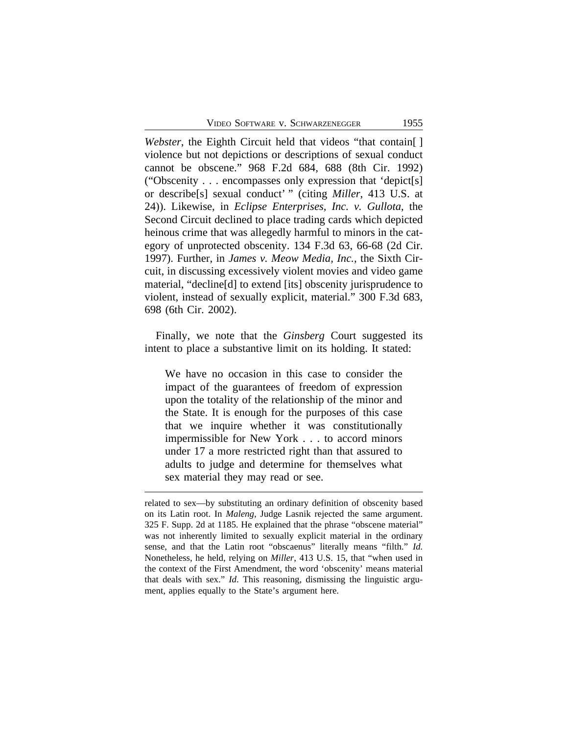*Webster*, the Eighth Circuit held that videos "that contain[ ] violence but not depictions or descriptions of sexual conduct cannot be obscene." 968 F.2d 684, 688 (8th Cir. 1992) ("Obscenity . . . encompasses only expression that 'depict[s] or describe[s] sexual conduct' " (citing *Miller*, 413 U.S. at 24)). Likewise, in *Eclipse Enterprises, Inc. v. Gullota*, the Second Circuit declined to place trading cards which depicted heinous crime that was allegedly harmful to minors in the category of unprotected obscenity. 134 F.3d 63, 66-68 (2d Cir. 1997). Further, in *James v. Meow Media, Inc.*, the Sixth Circuit, in discussing excessively violent movies and video game material, "decline[d] to extend [its] obscenity jurisprudence to violent, instead of sexually explicit, material." 300 F.3d 683, 698 (6th Cir. 2002).

Finally, we note that the *Ginsberg* Court suggested its intent to place a substantive limit on its holding. It stated:

We have no occasion in this case to consider the impact of the guarantees of freedom of expression upon the totality of the relationship of the minor and the State. It is enough for the purposes of this case that we inquire whether it was constitutionally impermissible for New York . . . to accord minors under 17 a more restricted right than that assured to adults to judge and determine for themselves what sex material they may read or see.

related to sex—by substituting an ordinary definition of obscenity based on its Latin root. In *Maleng*, Judge Lasnik rejected the same argument. 325 F. Supp. 2d at 1185. He explained that the phrase "obscene material" was not inherently limited to sexually explicit material in the ordinary sense, and that the Latin root "obscaenus" literally means "filth." *Id.* Nonetheless, he held, relying on *Miller*, 413 U.S. 15, that "when used in the context of the First Amendment, the word 'obscenity' means material that deals with sex." *Id*. This reasoning, dismissing the linguistic argument, applies equally to the State's argument here.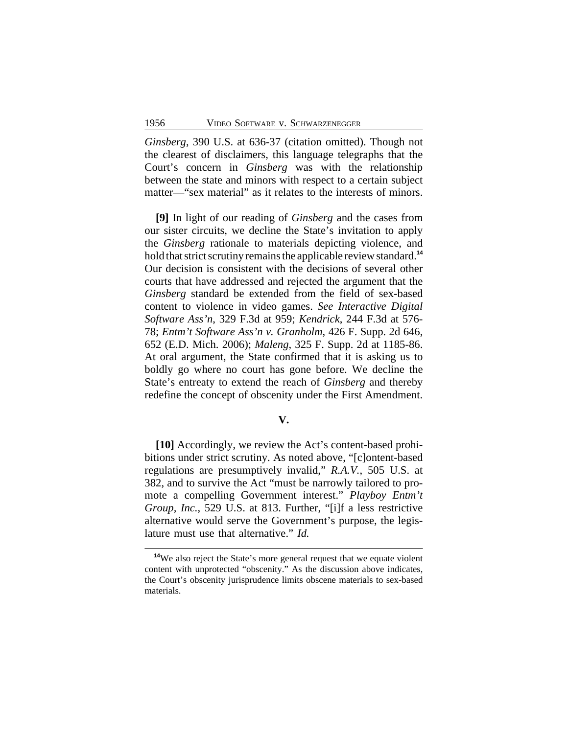*Ginsberg*, 390 U.S. at 636-37 (citation omitted). Though not the clearest of disclaimers, this language telegraphs that the Court's concern in *Ginsberg* was with the relationship between the state and minors with respect to a certain subject matter—"sex material" as it relates to the interests of minors.

**[9]** In light of our reading of *Ginsberg* and the cases from our sister circuits, we decline the State's invitation to apply the *Ginsberg* rationale to materials depicting violence, and hold that strict scrutiny remains the applicable review standard.**<sup>14</sup>** Our decision is consistent with the decisions of several other courts that have addressed and rejected the argument that the *Ginsberg* standard be extended from the field of sex-based content to violence in video games. *See Interactive Digital Software Ass'n*, 329 F.3d at 959; *Kendrick*, 244 F.3d at 576- 78; *Entm't Software Ass'n v. Granholm*, 426 F. Supp. 2d 646, 652 (E.D. Mich. 2006); *Maleng*, 325 F. Supp. 2d at 1185-86. At oral argument, the State confirmed that it is asking us to boldly go where no court has gone before. We decline the State's entreaty to extend the reach of *Ginsberg* and thereby redefine the concept of obscenity under the First Amendment.

#### **V.**

**[10]** Accordingly, we review the Act's content-based prohibitions under strict scrutiny. As noted above, "[c]ontent-based regulations are presumptively invalid," *R.A.V.*, 505 U.S. at 382, and to survive the Act "must be narrowly tailored to promote a compelling Government interest." *Playboy Entm't Group, Inc.*, 529 U.S. at 813. Further, "[i]f a less restrictive alternative would serve the Government's purpose, the legislature must use that alternative." *Id.*

<sup>&</sup>lt;sup>14</sup>We also reject the State's more general request that we equate violent content with unprotected "obscenity." As the discussion above indicates, the Court's obscenity jurisprudence limits obscene materials to sex-based materials.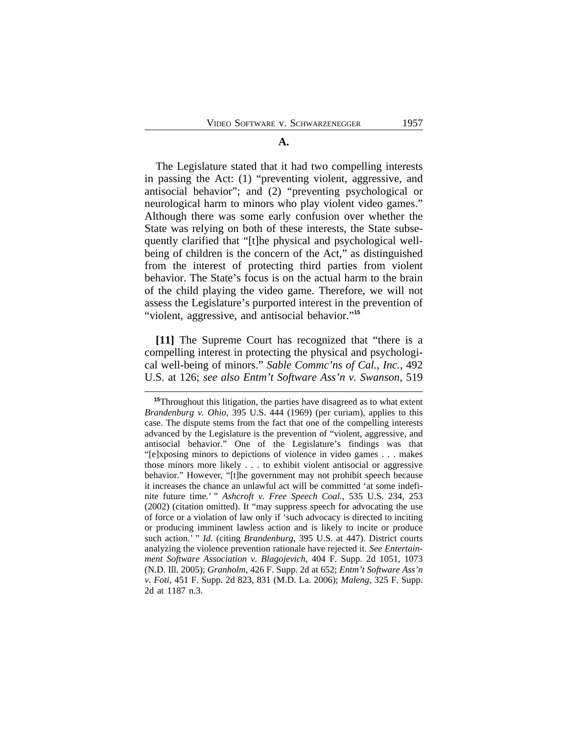#### **A.**

The Legislature stated that it had two compelling interests in passing the Act: (1) "preventing violent, aggressive, and antisocial behavior"; and (2) "preventing psychological or neurological harm to minors who play violent video games." Although there was some early confusion over whether the State was relying on both of these interests, the State subsequently clarified that "[t]he physical and psychological wellbeing of children is the concern of the Act," as distinguished from the interest of protecting third parties from violent behavior. The State's focus is on the actual harm to the brain of the child playing the video game. Therefore, we will not assess the Legislature's purported interest in the prevention of "violent, aggressive, and antisocial behavior."<sup>15</sup>

**[11]** The Supreme Court has recognized that "there is a compelling interest in protecting the physical and psychological well-being of minors." *Sable Commc'ns of Cal., Inc.*, 492 U.S. at 126; *see also Entm't Software Ass'n v. Swanson*, 519

**<sup>15</sup>**Throughout this litigation, the parties have disagreed as to what extent *Brandenburg v. Ohio*, 395 U.S. 444 (1969) (per curiam), applies to this case. The dispute stems from the fact that one of the compelling interests advanced by the Legislature is the prevention of "violent, aggressive, and antisocial behavior." One of the Legislature's findings was that "[e]xposing minors to depictions of violence in video games . . . makes those minors more likely . . . to exhibit violent antisocial or aggressive behavior." However, "[t]he government may not prohibit speech because it increases the chance an unlawful act will be committed 'at some indefinite future time.' " *Ashcroft v. Free Speech Coal.*, 535 U.S. 234, 253 (2002) (citation omitted). It "may suppress speech for advocating the use of force or a violation of law only if 'such advocacy is directed to inciting or producing imminent lawless action and is likely to incite or produce such action.' " *Id.* (citing *Brandenburg*, 395 U.S. at 447). District courts analyzing the violence prevention rationale have rejected it. *See Entertainment Software Association v. Blagojevich*, 404 F. Supp. 2d 1051, 1073 (N.D. Ill. 2005); *Granholm*, 426 F. Supp. 2d at 652; *Entm't Software Ass'n v. Foti*, 451 F. Supp. 2d 823, 831 (M.D. La. 2006); *Maleng*, 325 F. Supp. 2d at 1187 n.3.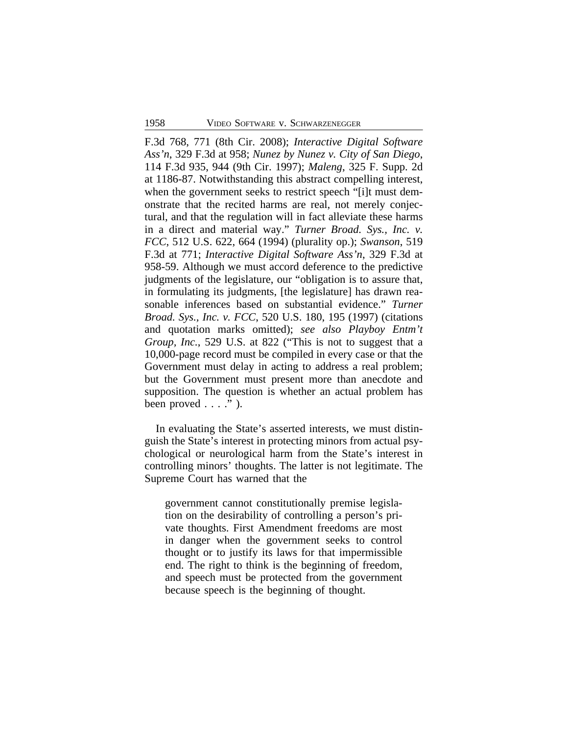F.3d 768, 771 (8th Cir. 2008); *Interactive Digital Software Ass'n*, 329 F.3d at 958; *Nunez by Nunez v. City of San Diego*, 114 F.3d 935, 944 (9th Cir. 1997); *Maleng*, 325 F. Supp. 2d at 1186-87. Notwithstanding this abstract compelling interest, when the government seeks to restrict speech "[i]t must demonstrate that the recited harms are real, not merely conjectural, and that the regulation will in fact alleviate these harms in a direct and material way." *Turner Broad. Sys., Inc. v. FCC*, 512 U.S. 622, 664 (1994) (plurality op.); *Swanson*, 519 F.3d at 771; *Interactive Digital Software Ass'n*, 329 F.3d at 958-59. Although we must accord deference to the predictive judgments of the legislature, our "obligation is to assure that, in formulating its judgments, [the legislature] has drawn reasonable inferences based on substantial evidence." *Turner Broad. Sys., Inc. v. FCC*, 520 U.S. 180, 195 (1997) (citations and quotation marks omitted); *see also Playboy Entm't Group, Inc.*, 529 U.S. at 822 ("This is not to suggest that a 10,000-page record must be compiled in every case or that the Government must delay in acting to address a real problem; but the Government must present more than anecdote and supposition. The question is whether an actual problem has been proved  $\ldots$  ." ).

In evaluating the State's asserted interests, we must distinguish the State's interest in protecting minors from actual psychological or neurological harm from the State's interest in controlling minors' thoughts. The latter is not legitimate. The Supreme Court has warned that the

government cannot constitutionally premise legislation on the desirability of controlling a person's private thoughts. First Amendment freedoms are most in danger when the government seeks to control thought or to justify its laws for that impermissible end. The right to think is the beginning of freedom, and speech must be protected from the government because speech is the beginning of thought.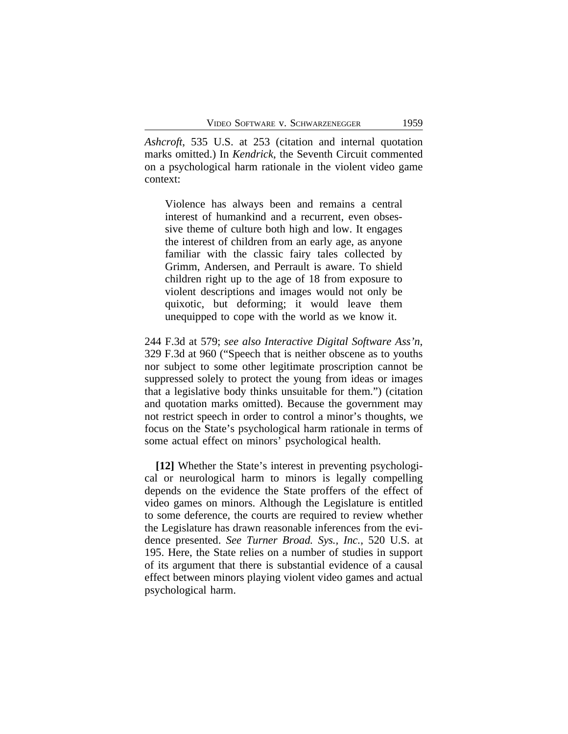*Ashcroft*, 535 U.S. at 253 (citation and internal quotation marks omitted.) In *Kendrick*, the Seventh Circuit commented on a psychological harm rationale in the violent video game context:

Violence has always been and remains a central interest of humankind and a recurrent, even obsessive theme of culture both high and low. It engages the interest of children from an early age, as anyone familiar with the classic fairy tales collected by Grimm, Andersen, and Perrault is aware. To shield children right up to the age of 18 from exposure to violent descriptions and images would not only be quixotic, but deforming; it would leave them unequipped to cope with the world as we know it.

244 F.3d at 579; *see also Interactive Digital Software Ass'n*, 329 F.3d at 960 ("Speech that is neither obscene as to youths nor subject to some other legitimate proscription cannot be suppressed solely to protect the young from ideas or images that a legislative body thinks unsuitable for them.") (citation and quotation marks omitted). Because the government may not restrict speech in order to control a minor's thoughts, we focus on the State's psychological harm rationale in terms of some actual effect on minors' psychological health.

**[12]** Whether the State's interest in preventing psychological or neurological harm to minors is legally compelling depends on the evidence the State proffers of the effect of video games on minors. Although the Legislature is entitled to some deference, the courts are required to review whether the Legislature has drawn reasonable inferences from the evidence presented. *See Turner Broad. Sys., Inc.*, 520 U.S. at 195. Here, the State relies on a number of studies in support of its argument that there is substantial evidence of a causal effect between minors playing violent video games and actual psychological harm.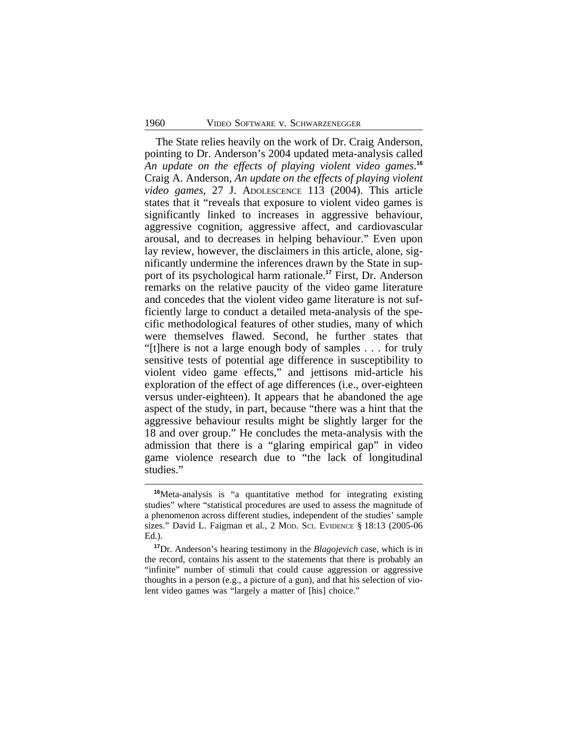The State relies heavily on the work of Dr. Craig Anderson, pointing to Dr. Anderson's 2004 updated meta-analysis called *An update on the effects of playing violent video games*. **16** Craig A. Anderson, *An update on the effects of playing violent video games*, 27 J. ADOLESCENCE 113 (2004). This article states that it "reveals that exposure to violent video games is significantly linked to increases in aggressive behaviour, aggressive cognition, aggressive affect, and cardiovascular arousal, and to decreases in helping behaviour." Even upon lay review, however, the disclaimers in this article, alone, significantly undermine the inferences drawn by the State in support of its psychological harm rationale.**<sup>17</sup>** First, Dr. Anderson remarks on the relative paucity of the video game literature and concedes that the violent video game literature is not sufficiently large to conduct a detailed meta-analysis of the specific methodological features of other studies, many of which were themselves flawed. Second, he further states that "[t]here is not a large enough body of samples . . . for truly sensitive tests of potential age difference in susceptibility to violent video game effects," and jettisons mid-article his exploration of the effect of age differences (i.e., over-eighteen versus under-eighteen). It appears that he abandoned the age aspect of the study, in part, because "there was a hint that the aggressive behaviour results might be slightly larger for the 18 and over group." He concludes the meta-analysis with the admission that there is a "glaring empirical gap" in video game violence research due to "the lack of longitudinal studies."

**<sup>16</sup>**Meta-analysis is "a quantitative method for integrating existing studies" where "statistical procedures are used to assess the magnitude of a phenomenon across different studies, independent of the studies' sample sizes." David L. Faigman et al., 2 MOD. SCI. EVIDENCE § 18:13 (2005-06 Ed.).

**<sup>17</sup>**Dr. Anderson's hearing testimony in the *Blagojevich* case, which is in the record, contains his assent to the statements that there is probably an "infinite" number of stimuli that could cause aggression or aggressive thoughts in a person (e.g., a picture of a gun), and that his selection of violent video games was "largely a matter of [his] choice."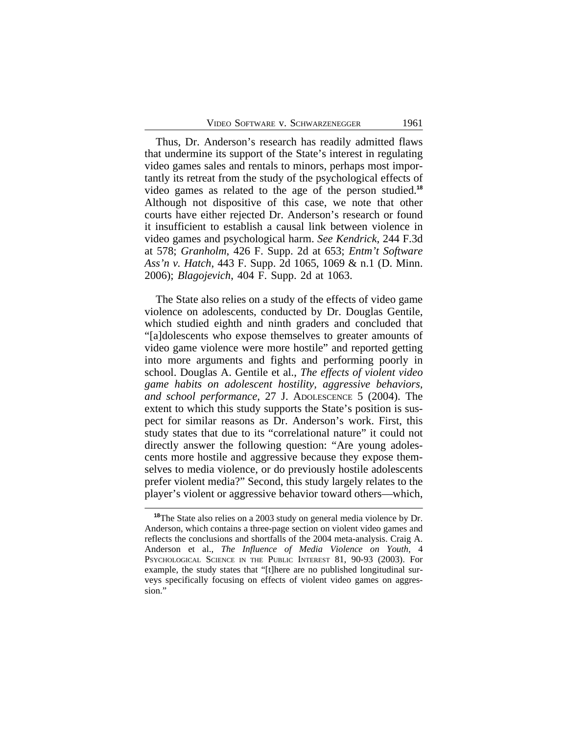Thus, Dr. Anderson's research has readily admitted flaws that undermine its support of the State's interest in regulating video games sales and rentals to minors, perhaps most importantly its retreat from the study of the psychological effects of video games as related to the age of the person studied.**<sup>18</sup>** Although not dispositive of this case, we note that other courts have either rejected Dr. Anderson's research or found it insufficient to establish a causal link between violence in video games and psychological harm. *See Kendrick*, 244 F.3d at 578; *Granholm*, 426 F. Supp. 2d at 653; *Entm't Software Ass'n v. Hatch*, 443 F. Supp. 2d 1065, 1069 & n.1 (D. Minn. 2006); *Blagojevich*, 404 F. Supp. 2d at 1063.

The State also relies on a study of the effects of video game violence on adolescents, conducted by Dr. Douglas Gentile, which studied eighth and ninth graders and concluded that "[a]dolescents who expose themselves to greater amounts of video game violence were more hostile" and reported getting into more arguments and fights and performing poorly in school. Douglas A. Gentile et al., *The effects of violent video game habits on adolescent hostility, aggressive behaviors, and school performance*, 27 J. ADOLESCENCE 5 (2004). The extent to which this study supports the State's position is suspect for similar reasons as Dr. Anderson's work. First, this study states that due to its "correlational nature" it could not directly answer the following question: "Are young adolescents more hostile and aggressive because they expose themselves to media violence, or do previously hostile adolescents prefer violent media?" Second, this study largely relates to the player's violent or aggressive behavior toward others—which,

**<sup>18</sup>**The State also relies on a 2003 study on general media violence by Dr. Anderson, which contains a three-page section on violent video games and reflects the conclusions and shortfalls of the 2004 meta-analysis. Craig A. Anderson et al., *The Influence of Media Violence on Youth*, 4 PSYCHOLOGICAL SCIENCE IN THE PUBLIC INTEREST 81, 90-93 (2003). For example, the study states that "[t]here are no published longitudinal surveys specifically focusing on effects of violent video games on aggression."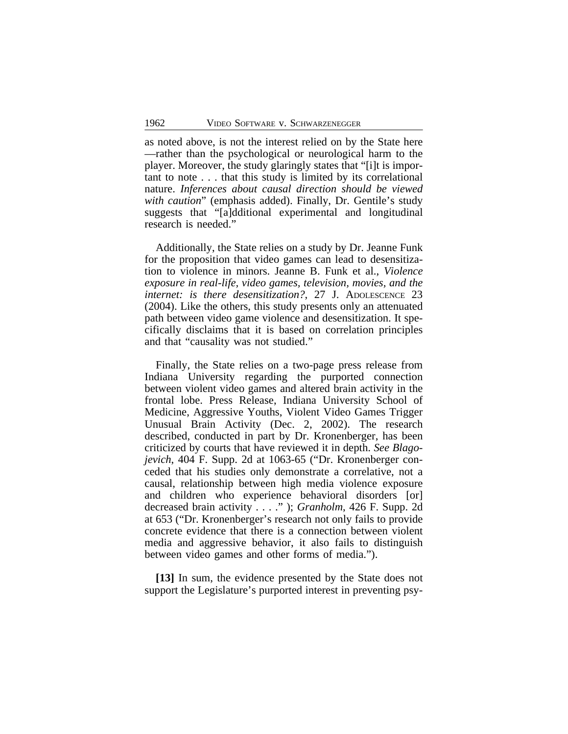as noted above, is not the interest relied on by the State here —rather than the psychological or neurological harm to the player. Moreover, the study glaringly states that "[i]t is important to note . . . that this study is limited by its correlational nature. *Inferences about causal direction should be viewed with caution*" (emphasis added). Finally, Dr. Gentile's study suggests that "[a]dditional experimental and longitudinal research is needed."

Additionally, the State relies on a study by Dr. Jeanne Funk for the proposition that video games can lead to desensitization to violence in minors. Jeanne B. Funk et al., *Violence exposure in real-life, video games, television, movies, and the internet: is there desensitization?*, 27 J. ADOLESCENCE 23 (2004). Like the others, this study presents only an attenuated path between video game violence and desensitization. It specifically disclaims that it is based on correlation principles and that "causality was not studied."

Finally, the State relies on a two-page press release from Indiana University regarding the purported connection between violent video games and altered brain activity in the frontal lobe. Press Release, Indiana University School of Medicine, Aggressive Youths, Violent Video Games Trigger Unusual Brain Activity (Dec. 2, 2002). The research described, conducted in part by Dr. Kronenberger, has been criticized by courts that have reviewed it in depth. *See Blagojevich*, 404 F. Supp. 2d at 1063-65 ("Dr. Kronenberger conceded that his studies only demonstrate a correlative, not a causal, relationship between high media violence exposure and children who experience behavioral disorders [or] decreased brain activity . . . ." ); *Granholm*, 426 F. Supp. 2d at 653 ("Dr. Kronenberger's research not only fails to provide concrete evidence that there is a connection between violent media and aggressive behavior, it also fails to distinguish between video games and other forms of media.").

**[13]** In sum, the evidence presented by the State does not support the Legislature's purported interest in preventing psy-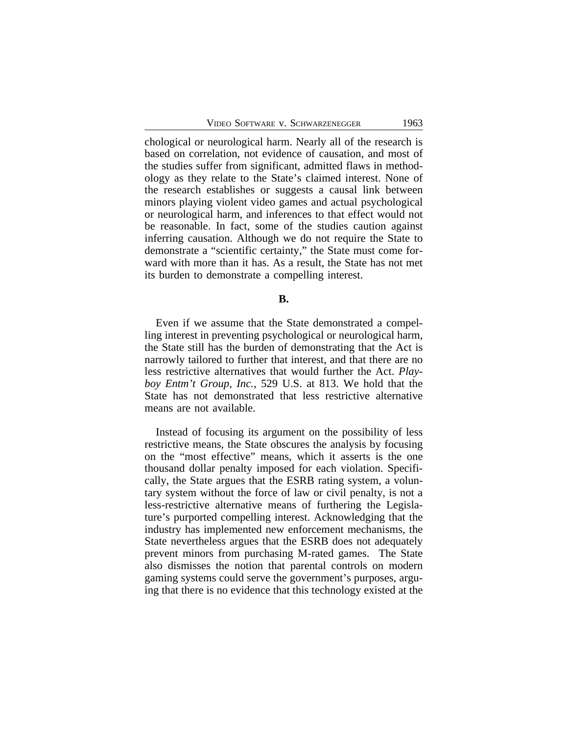chological or neurological harm. Nearly all of the research is based on correlation, not evidence of causation, and most of the studies suffer from significant, admitted flaws in methodology as they relate to the State's claimed interest. None of the research establishes or suggests a causal link between minors playing violent video games and actual psychological or neurological harm, and inferences to that effect would not be reasonable. In fact, some of the studies caution against inferring causation. Although we do not require the State to demonstrate a "scientific certainty," the State must come forward with more than it has. As a result, the State has not met its burden to demonstrate a compelling interest.

#### **B.**

Even if we assume that the State demonstrated a compelling interest in preventing psychological or neurological harm, the State still has the burden of demonstrating that the Act is narrowly tailored to further that interest, and that there are no less restrictive alternatives that would further the Act. *Playboy Entm't Group, Inc.*, 529 U.S. at 813. We hold that the State has not demonstrated that less restrictive alternative means are not available.

Instead of focusing its argument on the possibility of less restrictive means, the State obscures the analysis by focusing on the "most effective" means, which it asserts is the one thousand dollar penalty imposed for each violation. Specifically, the State argues that the ESRB rating system, a voluntary system without the force of law or civil penalty, is not a less-restrictive alternative means of furthering the Legislature's purported compelling interest. Acknowledging that the industry has implemented new enforcement mechanisms, the State nevertheless argues that the ESRB does not adequately prevent minors from purchasing M-rated games. The State also dismisses the notion that parental controls on modern gaming systems could serve the government's purposes, arguing that there is no evidence that this technology existed at the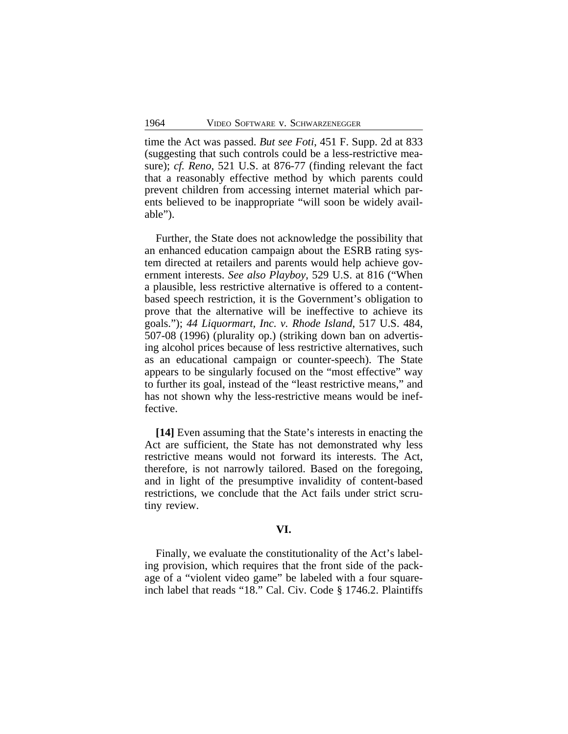time the Act was passed. *But see Foti*, 451 F. Supp. 2d at 833 (suggesting that such controls could be a less-restrictive measure); *cf. Reno*, 521 U.S. at 876-77 (finding relevant the fact that a reasonably effective method by which parents could prevent children from accessing internet material which parents believed to be inappropriate "will soon be widely available").

Further, the State does not acknowledge the possibility that an enhanced education campaign about the ESRB rating system directed at retailers and parents would help achieve government interests. *See also Playboy*, 529 U.S. at 816 ("When a plausible, less restrictive alternative is offered to a contentbased speech restriction, it is the Government's obligation to prove that the alternative will be ineffective to achieve its goals."); *44 Liquormart, Inc. v. Rhode Island*, 517 U.S. 484, 507-08 (1996) (plurality op.) (striking down ban on advertising alcohol prices because of less restrictive alternatives, such as an educational campaign or counter-speech). The State appears to be singularly focused on the "most effective" way to further its goal, instead of the "least restrictive means," and has not shown why the less-restrictive means would be ineffective.

**[14]** Even assuming that the State's interests in enacting the Act are sufficient, the State has not demonstrated why less restrictive means would not forward its interests. The Act, therefore, is not narrowly tailored. Based on the foregoing, and in light of the presumptive invalidity of content-based restrictions, we conclude that the Act fails under strict scrutiny review.

## **VI.**

Finally, we evaluate the constitutionality of the Act's labeling provision, which requires that the front side of the package of a "violent video game" be labeled with a four squareinch label that reads "18." Cal. Civ. Code § 1746.2. Plaintiffs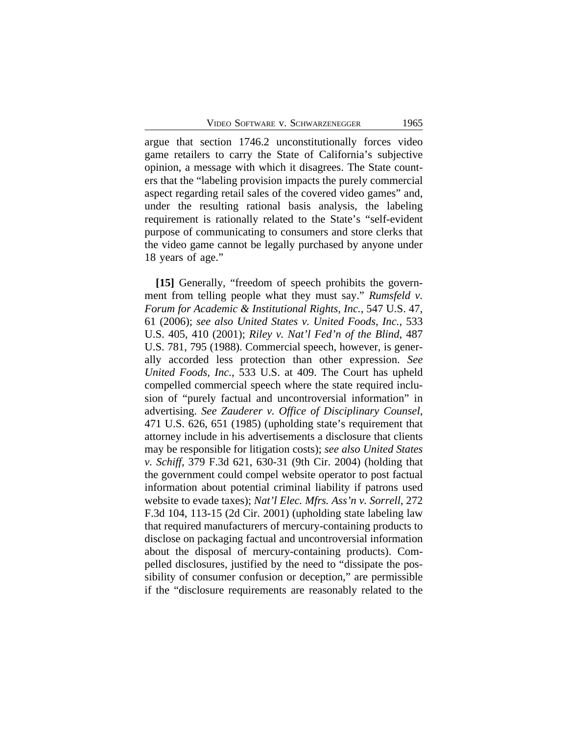argue that section 1746.2 unconstitutionally forces video game retailers to carry the State of California's subjective opinion, a message with which it disagrees. The State counters that the "labeling provision impacts the purely commercial aspect regarding retail sales of the covered video games" and, under the resulting rational basis analysis, the labeling requirement is rationally related to the State's "self-evident purpose of communicating to consumers and store clerks that the video game cannot be legally purchased by anyone under 18 years of age."

**[15]** Generally, "freedom of speech prohibits the government from telling people what they must say." *Rumsfeld v. Forum for Academic & Institutional Rights, Inc.*, 547 U.S. 47, 61 (2006); *see also United States v. United Foods, Inc.*, 533 U.S. 405, 410 (2001); *Riley v. Nat'l Fed'n of the Blind*, 487 U.S. 781, 795 (1988). Commercial speech, however, is generally accorded less protection than other expression. *See United Foods, Inc.*, 533 U.S. at 409. The Court has upheld compelled commercial speech where the state required inclusion of "purely factual and uncontroversial information" in advertising. *See Zauderer v. Office of Disciplinary Counsel*, 471 U.S. 626, 651 (1985) (upholding state's requirement that attorney include in his advertisements a disclosure that clients may be responsible for litigation costs); *see also United States v. Schiff*, 379 F.3d 621, 630-31 (9th Cir. 2004) (holding that the government could compel website operator to post factual information about potential criminal liability if patrons used website to evade taxes); *Nat'l Elec. Mfrs. Ass'n v. Sorrell*, 272 F.3d 104, 113-15 (2d Cir. 2001) (upholding state labeling law that required manufacturers of mercury-containing products to disclose on packaging factual and uncontroversial information about the disposal of mercury-containing products). Compelled disclosures, justified by the need to "dissipate the possibility of consumer confusion or deception," are permissible if the "disclosure requirements are reasonably related to the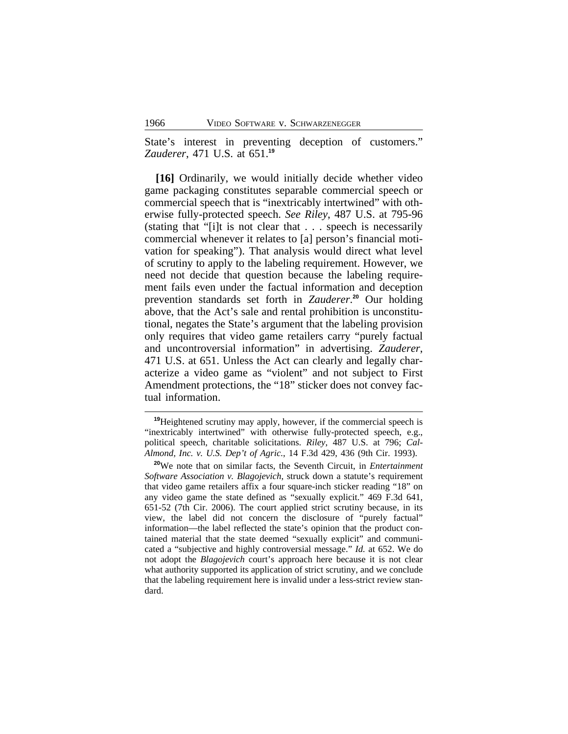State's interest in preventing deception of customers." *Zauderer*, 471 U.S. at 651.**<sup>19</sup>**

**[16]** Ordinarily, we would initially decide whether video game packaging constitutes separable commercial speech or commercial speech that is "inextricably intertwined" with otherwise fully-protected speech. *See Riley*, 487 U.S. at 795-96 (stating that "[i]t is not clear that . . . speech is necessarily commercial whenever it relates to [a] person's financial motivation for speaking"). That analysis would direct what level of scrutiny to apply to the labeling requirement. However, we need not decide that question because the labeling requirement fails even under the factual information and deception prevention standards set forth in *Zauderer*. **<sup>20</sup>** Our holding above, that the Act's sale and rental prohibition is unconstitutional, negates the State's argument that the labeling provision only requires that video game retailers carry "purely factual and uncontroversial information" in advertising. *Zauderer*, 471 U.S. at 651. Unless the Act can clearly and legally characterize a video game as "violent" and not subject to First Amendment protections, the "18" sticker does not convey factual information.

**<sup>19</sup>**Heightened scrutiny may apply, however, if the commercial speech is "inextricably intertwined" with otherwise fully-protected speech, e.g., political speech, charitable solicitations. *Riley*, 487 U.S. at 796; *Cal-Almond, Inc. v. U.S. Dep't of Agric.*, 14 F.3d 429, 436 (9th Cir. 1993).

**<sup>20</sup>**We note that on similar facts, the Seventh Circuit, in *Entertainment Software Association v. Blagojevich*, struck down a statute's requirement that video game retailers affix a four square-inch sticker reading "18" on any video game the state defined as "sexually explicit." 469 F.3d 641, 651-52 (7th Cir. 2006). The court applied strict scrutiny because, in its view, the label did not concern the disclosure of "purely factual" information—the label reflected the state's opinion that the product contained material that the state deemed "sexually explicit" and communicated a "subjective and highly controversial message." *Id.* at 652. We do not adopt the *Blagojevich* court's approach here because it is not clear what authority supported its application of strict scrutiny, and we conclude that the labeling requirement here is invalid under a less-strict review standard.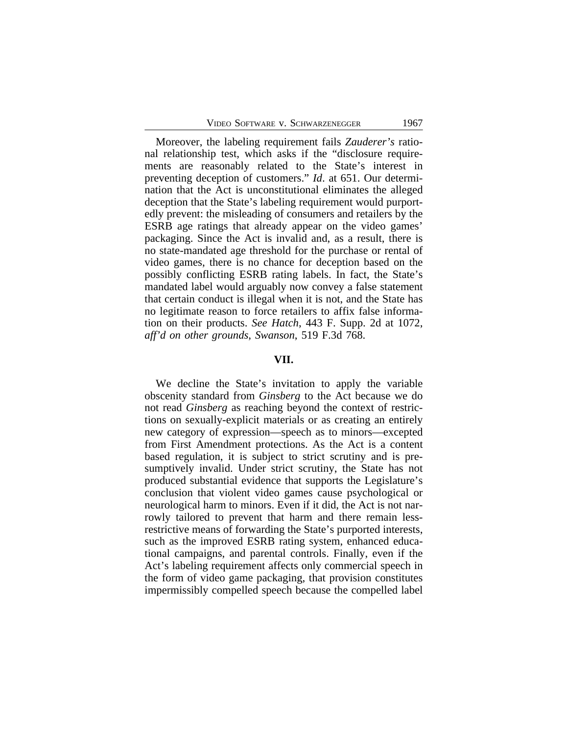Moreover, the labeling requirement fails *Zauderer's* rational relationship test, which asks if the "disclosure requirements are reasonably related to the State's interest in preventing deception of customers." *Id*. at 651. Our determination that the Act is unconstitutional eliminates the alleged deception that the State's labeling requirement would purportedly prevent: the misleading of consumers and retailers by the ESRB age ratings that already appear on the video games' packaging. Since the Act is invalid and, as a result, there is no state-mandated age threshold for the purchase or rental of video games, there is no chance for deception based on the possibly conflicting ESRB rating labels. In fact, the State's mandated label would arguably now convey a false statement that certain conduct is illegal when it is not, and the State has no legitimate reason to force retailers to affix false information on their products. *See Hatch*, 443 F. Supp. 2d at 1072, *aff'd on other grounds*, *Swanson*, 519 F.3d 768.

#### **VII.**

We decline the State's invitation to apply the variable obscenity standard from *Ginsberg* to the Act because we do not read *Ginsberg* as reaching beyond the context of restrictions on sexually-explicit materials or as creating an entirely new category of expression—speech as to minors—excepted from First Amendment protections. As the Act is a content based regulation, it is subject to strict scrutiny and is presumptively invalid. Under strict scrutiny, the State has not produced substantial evidence that supports the Legislature's conclusion that violent video games cause psychological or neurological harm to minors. Even if it did, the Act is not narrowly tailored to prevent that harm and there remain lessrestrictive means of forwarding the State's purported interests, such as the improved ESRB rating system, enhanced educational campaigns, and parental controls. Finally, even if the Act's labeling requirement affects only commercial speech in the form of video game packaging, that provision constitutes impermissibly compelled speech because the compelled label